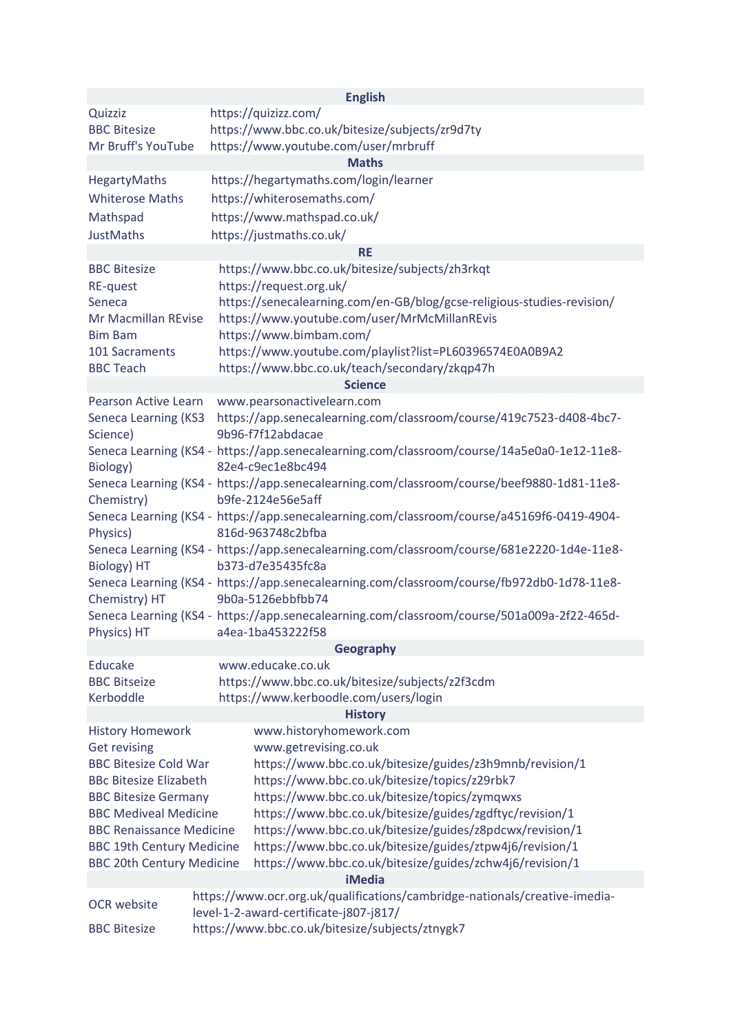|                                                                                                                                                                                             |                                                                                                                 | <b>English</b>                                                                                                                       |  |  |  |
|---------------------------------------------------------------------------------------------------------------------------------------------------------------------------------------------|-----------------------------------------------------------------------------------------------------------------|--------------------------------------------------------------------------------------------------------------------------------------|--|--|--|
| Quizziz                                                                                                                                                                                     |                                                                                                                 | https://quizizz.com/                                                                                                                 |  |  |  |
| <b>BBC Bitesize</b><br>Mr Bruff's YouTube                                                                                                                                                   |                                                                                                                 | https://www.bbc.co.uk/bitesize/subjects/zr9d7ty                                                                                      |  |  |  |
| https://www.youtube.com/user/mrbruff<br><b>Maths</b>                                                                                                                                        |                                                                                                                 |                                                                                                                                      |  |  |  |
| HegartyMaths                                                                                                                                                                                |                                                                                                                 | https://hegartymaths.com/login/learner                                                                                               |  |  |  |
| <b>Whiterose Maths</b>                                                                                                                                                                      |                                                                                                                 | https://whiterosemaths.com/                                                                                                          |  |  |  |
| Mathspad                                                                                                                                                                                    |                                                                                                                 | https://www.mathspad.co.uk/                                                                                                          |  |  |  |
| <b>JustMaths</b>                                                                                                                                                                            |                                                                                                                 | https://justmaths.co.uk/                                                                                                             |  |  |  |
|                                                                                                                                                                                             |                                                                                                                 | <b>RE</b>                                                                                                                            |  |  |  |
| <b>BBC Bitesize</b><br>RE-quest                                                                                                                                                             |                                                                                                                 | https://www.bbc.co.uk/bitesize/subjects/zh3rkqt<br>https://request.org.uk/                                                           |  |  |  |
| Seneca<br>Mr Macmillan REvise                                                                                                                                                               |                                                                                                                 | https://senecalearning.com/en-GB/blog/gcse-religious-studies-revision/<br>https://www.youtube.com/user/MrMcMillanREvis               |  |  |  |
| <b>Bim Bam</b><br>101 Sacraments<br><b>BBC Teach</b>                                                                                                                                        |                                                                                                                 | https://www.bimbam.com/<br>https://www.youtube.com/playlist?list=PL60396574E0A0B9A2<br>https://www.bbc.co.uk/teach/secondary/zkqp47h |  |  |  |
|                                                                                                                                                                                             |                                                                                                                 | <b>Science</b>                                                                                                                       |  |  |  |
| Pearson Active Learn                                                                                                                                                                        |                                                                                                                 | www.pearsonactivelearn.com                                                                                                           |  |  |  |
| Seneca Learning (KS3<br>Science)                                                                                                                                                            |                                                                                                                 | https://app.senecalearning.com/classroom/course/419c7523-d408-4bc7-<br>9b96-f7f12abdacae                                             |  |  |  |
| Seneca Learning (KS4 - https://app.senecalearning.com/classroom/course/14a5e0a0-1e12-11e8-<br>Biology)<br>82e4-c9ec1e8bc494                                                                 |                                                                                                                 |                                                                                                                                      |  |  |  |
| Seneca Learning (KS4 - https://app.senecalearning.com/classroom/course/beef9880-1d81-11e8-<br>b9fe-2124e56e5aff<br>Chemistry)                                                               |                                                                                                                 |                                                                                                                                      |  |  |  |
| Seneca Learning (KS4 - https://app.senecalearning.com/classroom/course/a45169f6-0419-4904-<br>816d-963748c2bfba<br>Physics)                                                                 |                                                                                                                 |                                                                                                                                      |  |  |  |
| Seneca Learning (KS4 - https://app.senecalearning.com/classroom/course/681e2220-1d4e-11e8-<br>b373-d7e35435fc8a<br>Biology) HT                                                              |                                                                                                                 |                                                                                                                                      |  |  |  |
| Chemistry) HT                                                                                                                                                                               | Seneca Learning (KS4 - https://app.senecalearning.com/classroom/course/fb972db0-1d78-11e8-<br>9b0a-5126ebbfbb74 |                                                                                                                                      |  |  |  |
| Physics) HT                                                                                                                                                                                 |                                                                                                                 | Seneca Learning (KS4 - https://app.senecalearning.com/classroom/course/501a009a-2f22-465d-<br>a4ea-1ba453222f58                      |  |  |  |
|                                                                                                                                                                                             |                                                                                                                 | Geography                                                                                                                            |  |  |  |
| Educake<br><b>BBC Bitseize</b>                                                                                                                                                              |                                                                                                                 | www.educake.co.uk                                                                                                                    |  |  |  |
| Kerboddle                                                                                                                                                                                   |                                                                                                                 | https://www.bbc.co.uk/bitesize/subjects/z2f3cdm<br>https://www.kerboodle.com/users/login                                             |  |  |  |
|                                                                                                                                                                                             |                                                                                                                 | <b>History</b>                                                                                                                       |  |  |  |
| <b>History Homework</b>                                                                                                                                                                     |                                                                                                                 | www.historyhomework.com                                                                                                              |  |  |  |
| <b>Get revising</b>                                                                                                                                                                         |                                                                                                                 | www.getrevising.co.uk                                                                                                                |  |  |  |
| <b>BBC Bitesize Cold War</b>                                                                                                                                                                |                                                                                                                 | https://www.bbc.co.uk/bitesize/guides/z3h9mnb/revision/1                                                                             |  |  |  |
| <b>BBc Bitesize Elizabeth</b>                                                                                                                                                               |                                                                                                                 | https://www.bbc.co.uk/bitesize/topics/z29rbk7                                                                                        |  |  |  |
| <b>BBC Bitesize Germany</b>                                                                                                                                                                 |                                                                                                                 | https://www.bbc.co.uk/bitesize/topics/zymqwxs                                                                                        |  |  |  |
| https://www.bbc.co.uk/bitesize/guides/zgdftyc/revision/1<br><b>BBC Mediveal Medicine</b>                                                                                                    |                                                                                                                 |                                                                                                                                      |  |  |  |
| <b>BBC Renaissance Medicine</b><br>https://www.bbc.co.uk/bitesize/guides/z8pdcwx/revision/1<br><b>BBC 19th Century Medicine</b><br>https://www.bbc.co.uk/bitesize/guides/ztpw4j6/revision/1 |                                                                                                                 |                                                                                                                                      |  |  |  |
| https://www.bbc.co.uk/bitesize/guides/zchw4j6/revision/1<br><b>BBC 20th Century Medicine</b>                                                                                                |                                                                                                                 |                                                                                                                                      |  |  |  |
| <b>iMedia</b>                                                                                                                                                                               |                                                                                                                 |                                                                                                                                      |  |  |  |
| https://www.ocr.org.uk/qualifications/cambridge-nationals/creative-imedia-<br><b>OCR</b> website<br>level-1-2-award-certificate-j807-j817/                                                  |                                                                                                                 |                                                                                                                                      |  |  |  |
| <b>BBC Bitesize</b>                                                                                                                                                                         | https://www.bbc.co.uk/bitesize/subjects/ztnygk7                                                                 |                                                                                                                                      |  |  |  |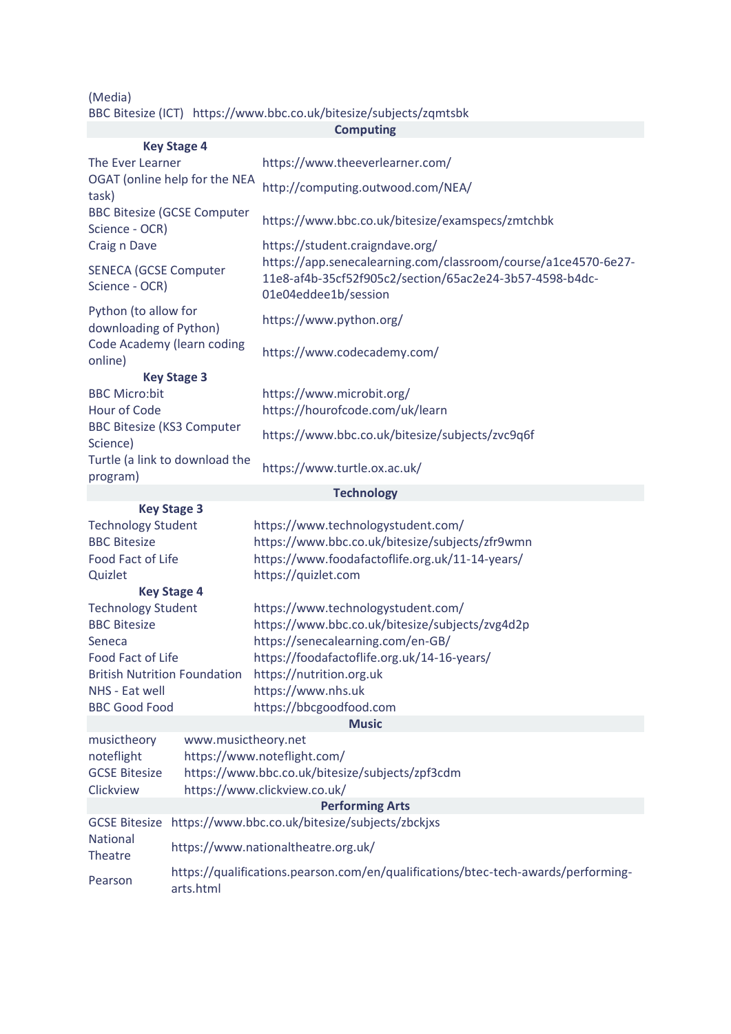(Media)

|  | BBC Bitesize (ICT) https://www.bbc.co.uk/bitesize/subjects/zqmtsbk |
|--|--------------------------------------------------------------------|
|--|--------------------------------------------------------------------|

|                                                                                         |                                                                                                | <b>Computing</b>                                                                                                                                  |  |  |  |
|-----------------------------------------------------------------------------------------|------------------------------------------------------------------------------------------------|---------------------------------------------------------------------------------------------------------------------------------------------------|--|--|--|
|                                                                                         | <b>Key Stage 4</b>                                                                             |                                                                                                                                                   |  |  |  |
| The Ever Learner                                                                        |                                                                                                | https://www.theeverlearner.com/                                                                                                                   |  |  |  |
| OGAT (online help for the NEA<br>task)                                                  |                                                                                                | http://computing.outwood.com/NEA/                                                                                                                 |  |  |  |
| <b>BBC Bitesize (GCSE Computer</b><br>Science - OCR)                                    |                                                                                                | https://www.bbc.co.uk/bitesize/examspecs/zmtchbk                                                                                                  |  |  |  |
| Craig n Dave                                                                            |                                                                                                | https://student.craigndave.org/                                                                                                                   |  |  |  |
| <b>SENECA (GCSE Computer</b><br>Science - OCR)                                          |                                                                                                | https://app.senecalearning.com/classroom/course/a1ce4570-6e27-<br>11e8-af4b-35cf52f905c2/section/65ac2e24-3b57-4598-b4dc-<br>01e04eddee1b/session |  |  |  |
| Python (to allow for<br>downloading of Python)<br>Code Academy (learn coding<br>online) |                                                                                                | https://www.python.org/                                                                                                                           |  |  |  |
|                                                                                         |                                                                                                | https://www.codecademy.com/                                                                                                                       |  |  |  |
|                                                                                         | <b>Key Stage 3</b>                                                                             |                                                                                                                                                   |  |  |  |
| <b>BBC Micro:bit</b><br>Hour of Code<br><b>BBC Bitesize (KS3 Computer</b><br>Science)   |                                                                                                | https://www.microbit.org/<br>https://hourofcode.com/uk/learn                                                                                      |  |  |  |
|                                                                                         |                                                                                                | https://www.bbc.co.uk/bitesize/subjects/zvc9q6f                                                                                                   |  |  |  |
| Turtle (a link to download the<br>program)                                              |                                                                                                | https://www.turtle.ox.ac.uk/                                                                                                                      |  |  |  |
|                                                                                         |                                                                                                | <b>Technology</b>                                                                                                                                 |  |  |  |
|                                                                                         | <b>Key Stage 3</b>                                                                             |                                                                                                                                                   |  |  |  |
| <b>Technology Student</b>                                                               |                                                                                                | https://www.technologystudent.com/                                                                                                                |  |  |  |
| <b>BBC Bitesize</b>                                                                     |                                                                                                | https://www.bbc.co.uk/bitesize/subjects/zfr9wmn                                                                                                   |  |  |  |
| Food Fact of Life                                                                       |                                                                                                | https://www.foodafactoflife.org.uk/11-14-years/                                                                                                   |  |  |  |
| Quizlet                                                                                 |                                                                                                | https://quizlet.com                                                                                                                               |  |  |  |
|                                                                                         | <b>Key Stage 4</b>                                                                             |                                                                                                                                                   |  |  |  |
| <b>Technology Student</b>                                                               |                                                                                                | https://www.technologystudent.com/                                                                                                                |  |  |  |
| <b>BBC Bitesize</b>                                                                     |                                                                                                | https://www.bbc.co.uk/bitesize/subjects/zvg4d2p                                                                                                   |  |  |  |
| Seneca                                                                                  |                                                                                                | https://senecalearning.com/en-GB/<br>https://foodafactoflife.org.uk/14-16-years/                                                                  |  |  |  |
| Food Fact of Life                                                                       |                                                                                                |                                                                                                                                                   |  |  |  |
| British Nutrition Foundation https://nutrition.org.uk<br>NHS - Eat well                 |                                                                                                | https://www.nhs.uk                                                                                                                                |  |  |  |
| <b>BBC Good Food</b>                                                                    |                                                                                                | https://bbcgoodfood.com                                                                                                                           |  |  |  |
| <b>Music</b>                                                                            |                                                                                                |                                                                                                                                                   |  |  |  |
| musictheory                                                                             | www.musictheory.net                                                                            |                                                                                                                                                   |  |  |  |
| noteflight                                                                              |                                                                                                | https://www.noteflight.com/                                                                                                                       |  |  |  |
| <b>GCSE Bitesize</b>                                                                    |                                                                                                | https://www.bbc.co.uk/bitesize/subjects/zpf3cdm                                                                                                   |  |  |  |
| Clickview                                                                               |                                                                                                | https://www.clickview.co.uk/                                                                                                                      |  |  |  |
| <b>Performing Arts</b>                                                                  |                                                                                                |                                                                                                                                                   |  |  |  |
| National<br>Theatre                                                                     | GCSE Bitesize https://www.bbc.co.uk/bitesize/subjects/zbckjxs                                  |                                                                                                                                                   |  |  |  |
|                                                                                         | https://www.nationaltheatre.org.uk/                                                            |                                                                                                                                                   |  |  |  |
| Pearson                                                                                 | https://qualifications.pearson.com/en/qualifications/btec-tech-awards/performing-<br>arts.html |                                                                                                                                                   |  |  |  |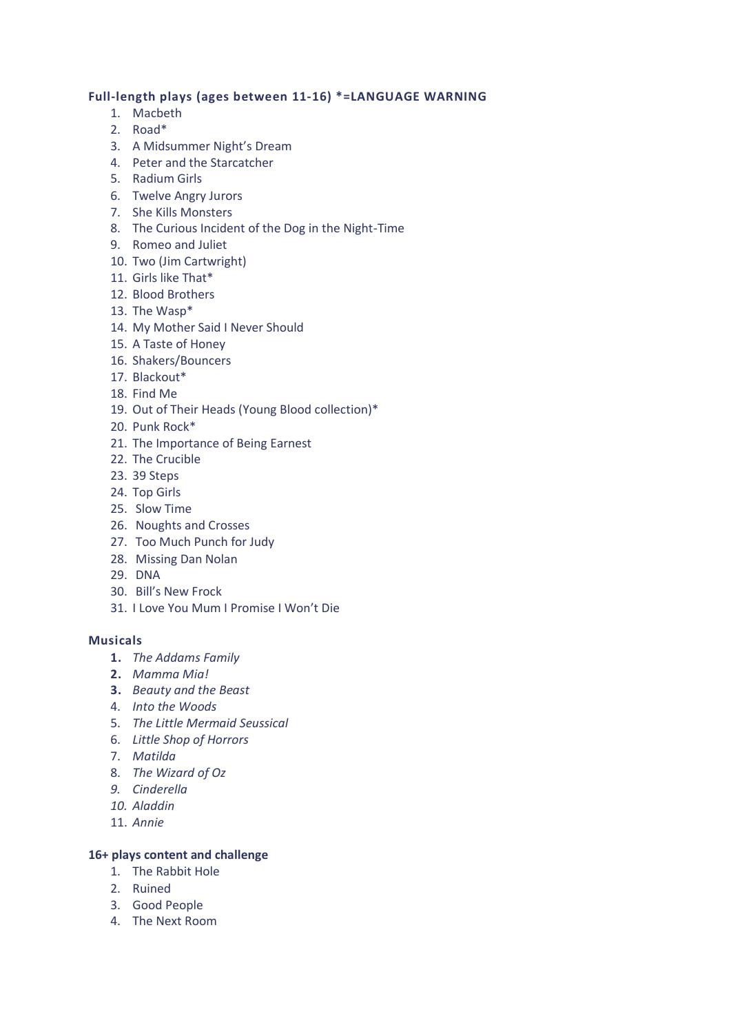## **Full-length plays (ages between 11-16) \*=LANGUAGE WARNING**

- 1. Macbeth
- 2. Road\*
- 3. A Midsummer Night's Dream
- 4. Peter and the Starcatcher
- 5. Radium Girls
- 6. Twelve Angry Jurors
- 7. She Kills Monsters
- 8. The Curious Incident of the Dog in the Night-Time
- 9. Romeo and Juliet
- 10. Two (Jim Cartwright)
- 11. Girls like That\*
- 12. Blood Brothers
- 13. The Wasp\*
- 14. My Mother Said I Never Should
- 15. A Taste of Honey
- 16. Shakers/Bouncers
- 17. Blackout\*
- 18. Find Me
- 19. Out of Their Heads (Young Blood collection)\*
- 20. Punk Rock\*
- 21. The Importance of Being Earnest
- 22. The Crucible
- 23. 39 Steps
- 24. Top Girls
- 25. Slow Time
- 26. Noughts and Crosses
- 27. Too Much Punch for Judy
- 28. Missing Dan Nolan
- 29. DNA
- 30. Bill's New Frock
- 31. I Love You Mum I Promise I Won't Die

## **Musicals**

- **1.** *The Addams Family*
- **2.** *Mamma Mia!*
- **3.** *Beauty and the Beast*
- 4. *Into the Woods*
- 5. *The Little Mermaid Seussical*
- 6. *Little Shop of Horrors*
- 7. *Matilda*
- 8. *The Wizard of Oz*
- *9. Cinderella*
- *10. Aladdin*
- 11. *Annie*

## **16+ plays content and challenge**

- 1. The Rabbit Hole
- 2. Ruined
- 3. Good People
- 4. The Next Room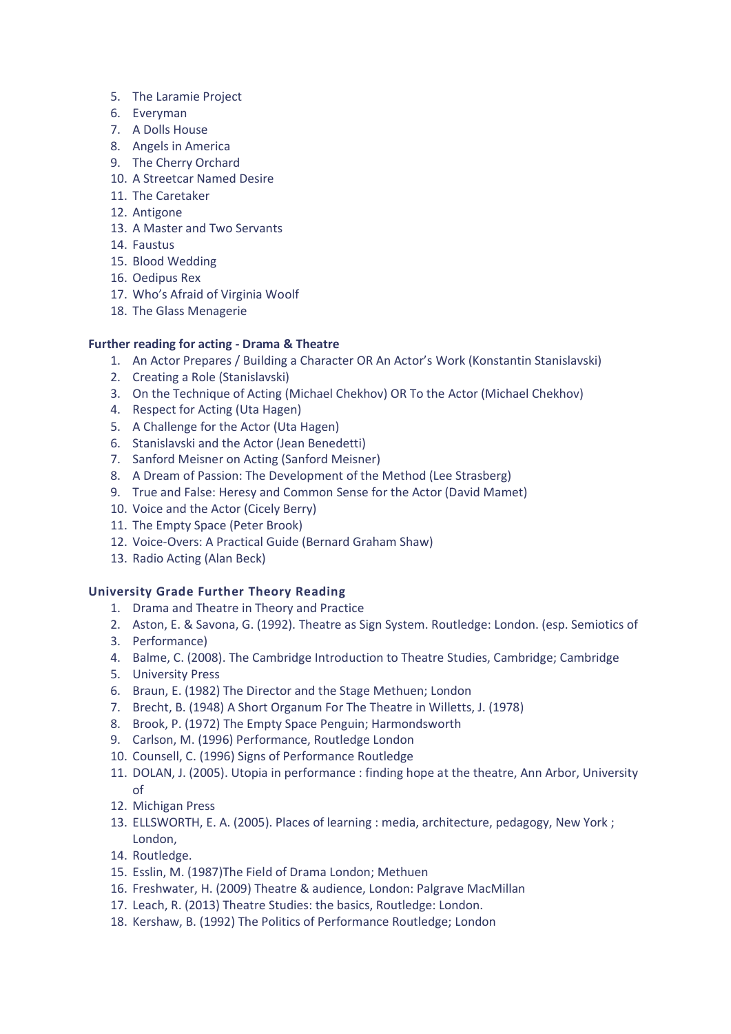- 5. The Laramie Project
- 6. Everyman
- 7. A Dolls House
- 8. Angels in America
- 9. The Cherry Orchard
- 10. A Streetcar Named Desire
- 11. The Caretaker
- 12. Antigone
- 13. A Master and Two Servants
- 14. Faustus
- 15. Blood Wedding
- 16. Oedipus Rex
- 17. Who's Afraid of Virginia Woolf
- 18. The Glass Menagerie

# **Further reading for acting - Drama & Theatre**

- 1. An Actor Prepares / Building a Character OR An Actor's Work (Konstantin Stanislavski)
- 2. Creating a Role (Stanislavski)
- 3. On the Technique of Acting (Michael Chekhov) OR To the Actor (Michael Chekhov)
- 4. Respect for Acting (Uta Hagen)
- 5. A Challenge for the Actor (Uta Hagen)
- 6. Stanislavski and the Actor (Jean Benedetti)
- 7. Sanford Meisner on Acting (Sanford Meisner)
- 8. A Dream of Passion: The Development of the Method (Lee Strasberg)
- 9. True and False: Heresy and Common Sense for the Actor (David Mamet)
- 10. Voice and the Actor (Cicely Berry)
- 11. The Empty Space (Peter Brook)
- 12. Voice-Overs: A Practical Guide (Bernard Graham Shaw)
- 13. Radio Acting (Alan Beck)

# **University Grade Further Theory Reading**

- 1. Drama and Theatre in Theory and Practice
- 2. Aston, E. & Savona, G. (1992). Theatre as Sign System. Routledge: London. (esp. Semiotics of
- 3. Performance)
- 4. Balme, C. (2008). The Cambridge Introduction to Theatre Studies, Cambridge; Cambridge
- 5. University Press
- 6. Braun, E. (1982) The Director and the Stage Methuen; London
- 7. Brecht, B. (1948) A Short Organum For The Theatre in Willetts, J. (1978)
- 8. Brook, P. (1972) The Empty Space Penguin; Harmondsworth
- 9. Carlson, M. (1996) Performance, Routledge London
- 10. Counsell, C. (1996) Signs of Performance Routledge
- 11. DOLAN, J. (2005). Utopia in performance : finding hope at the theatre, Ann Arbor, University of
- 12. Michigan Press
- 13. ELLSWORTH, E. A. (2005). Places of learning : media, architecture, pedagogy, New York ; London,
- 14. Routledge.
- 15. Esslin, M. (1987)The Field of Drama London; Methuen
- 16. Freshwater, H. (2009) Theatre & audience, London: Palgrave MacMillan
- 17. Leach, R. (2013) Theatre Studies: the basics, Routledge: London.
- 18. Kershaw, B. (1992) The Politics of Performance Routledge; London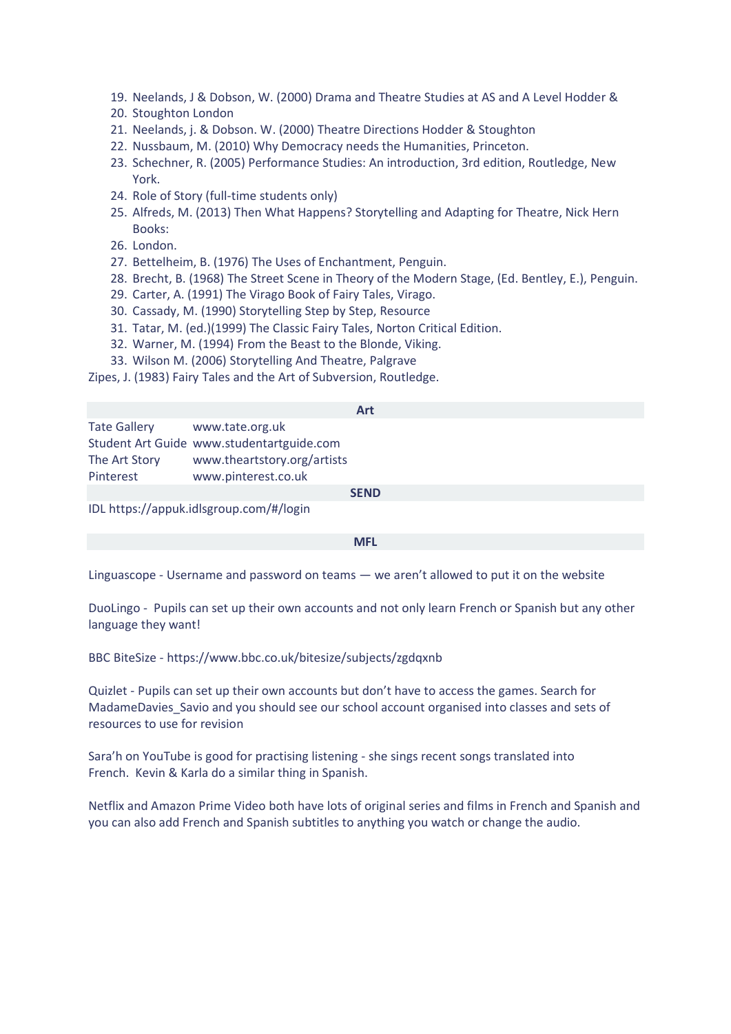- 19. Neelands, J & Dobson, W. (2000) Drama and Theatre Studies at AS and A Level Hodder &
- 20. Stoughton London
- 21. Neelands, j. & Dobson. W. (2000) Theatre Directions Hodder & Stoughton
- 22. Nussbaum, M. (2010) Why Democracy needs the Humanities, Princeton.
- 23. Schechner, R. (2005) Performance Studies: An introduction, 3rd edition, Routledge, New York.
- 24. Role of Story (full-time students only)
- 25. Alfreds, M. (2013) Then What Happens? Storytelling and Adapting for Theatre, Nick Hern Books:
- 26. London.
- 27. Bettelheim, B. (1976) The Uses of Enchantment, Penguin.
- 28. Brecht, B. (1968) The Street Scene in Theory of the Modern Stage, (Ed. Bentley, E.), Penguin.
- 29. Carter, A. (1991) The Virago Book of Fairy Tales, Virago.
- 30. Cassady, M. (1990) Storytelling Step by Step, Resource
- 31. Tatar, M. (ed.)(1999) The Classic Fairy Tales, Norton Critical Edition.
- 32. Warner, M. (1994) From the Beast to the Blonde, Viking.
- 33. Wilson M. (2006) Storytelling And Theatre, Palgrave

Zipes, J. (1983) Fairy Tales and the Art of Subversion, Routledge.

|                                         |                                           | <b>Art</b> |  |  |  |  |
|-----------------------------------------|-------------------------------------------|------------|--|--|--|--|
| <b>Tate Gallery</b>                     | www.tate.org.uk                           |            |  |  |  |  |
|                                         | Student Art Guide www.studentartguide.com |            |  |  |  |  |
| The Art Story                           | www.theartstory.org/artists               |            |  |  |  |  |
| Pinterest                               | www.pinterest.co.uk                       |            |  |  |  |  |
| <b>SEND</b>                             |                                           |            |  |  |  |  |
| IDL https://appuk.idlsgroup.com/#/login |                                           |            |  |  |  |  |

**MFL**

[Linguascope](https://www.linguascope.com/) - Username and password on teams — we aren't allowed to put it on the website

[DuoLingo](https://www.duolingo.com/) - Pupils can set up their own accounts and not only learn French or Spanish but any other language they want!

BBC BiteSize - <https://www.bbc.co.uk/bitesize/subjects/zgdqxnb>

[Quizlet](https://quizlet.com/en-gb) - Pupils can set up their own accounts but don't have to access the games. Search for MadameDavies Savio and you should see our school account organised into classes and sets of resources to use for revision

[Sara'h](https://www.youtube.com/channel/UCjt5aCibc8pUxIGn4af8-Jw) on YouTube is good for practising listening - she sings recent songs translated into French. Kevin & Karla do a similar thing in Spanish.

[Netflix](https://www.netflix.com/gb/) and Amazon [Prime Video](https://www.amazon.co.uk/Amazon-Video/b/?ie=UTF8&node=3010085031&ref_=nav_cs_prime_video_27e9c5a1d99b47bb9689aa98a43ed68f) both have lots of original series and films in French and Spanish and you can also add French and Spanish subtitles to anything you watch or change the audio.